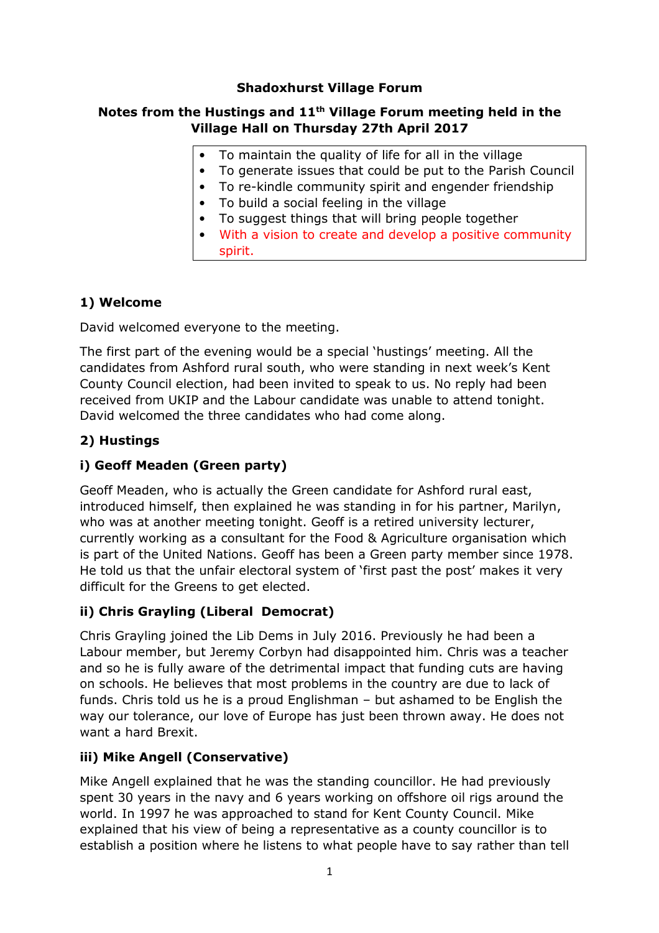## **Shadoxhurst Village Forum**

### **Notes from the Hustings and 11th Village Forum meeting held in the Village Hall on Thursday 27th April 2017**

- To maintain the quality of life for all in the village
- To generate issues that could be put to the Parish Council
- To re-kindle community spirit and engender friendship
- To build a social feeling in the village
- To suggest things that will bring people together
- With a vision to create and develop a positive community spirit.

## **1) Welcome**

David welcomed everyone to the meeting.

The first part of the evening would be a special 'hustings' meeting. All the candidates from Ashford rural south, who were standing in next week's Kent County Council election, had been invited to speak to us. No reply had been received from UKIP and the Labour candidate was unable to attend tonight. David welcomed the three candidates who had come along.

## **2) Hustings**

## **i) Geoff Meaden (Green party)**

Geoff Meaden, who is actually the Green candidate for Ashford rural east, introduced himself, then explained he was standing in for his partner, Marilyn, who was at another meeting tonight. Geoff is a retired university lecturer, currently working as a consultant for the Food & Agriculture organisation which is part of the United Nations. Geoff has been a Green party member since 1978. He told us that the unfair electoral system of 'first past the post' makes it very difficult for the Greens to get elected.

## **ii) Chris Grayling (Liberal Democrat)**

Chris Grayling joined the Lib Dems in July 2016. Previously he had been a Labour member, but Jeremy Corbyn had disappointed him. Chris was a teacher and so he is fully aware of the detrimental impact that funding cuts are having on schools. He believes that most problems in the country are due to lack of funds. Chris told us he is a proud Englishman – but ashamed to be English the way our tolerance, our love of Europe has just been thrown away. He does not want a hard Brexit.

### **iii) Mike Angell (Conservative)**

Mike Angell explained that he was the standing councillor. He had previously spent 30 years in the navy and 6 years working on offshore oil rigs around the world. In 1997 he was approached to stand for Kent County Council. Mike explained that his view of being a representative as a county councillor is to establish a position where he listens to what people have to say rather than tell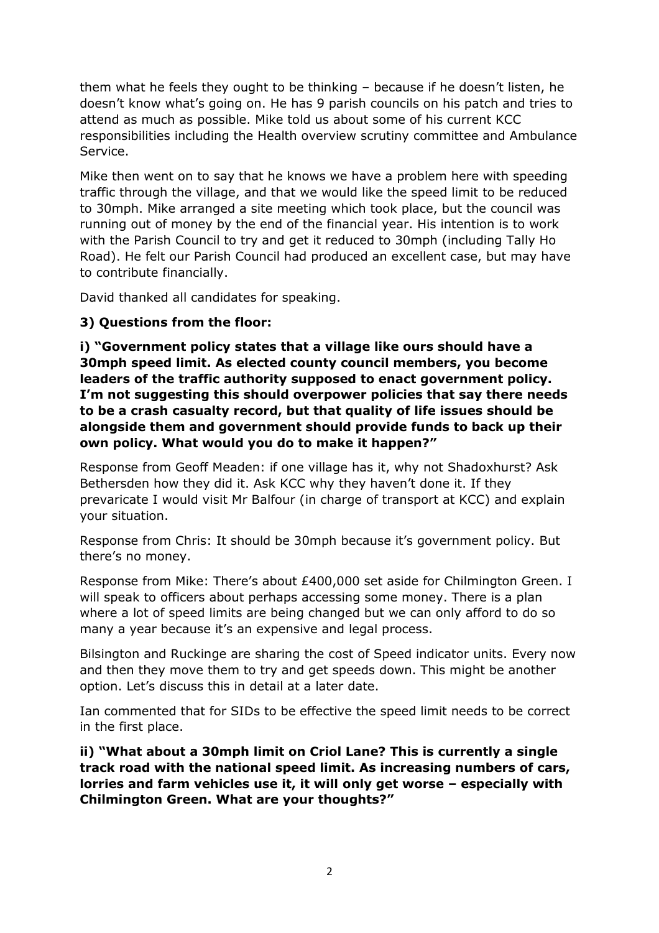them what he feels they ought to be thinking – because if he doesn't listen, he doesn't know what's going on. He has 9 parish councils on his patch and tries to attend as much as possible. Mike told us about some of his current KCC responsibilities including the Health overview scrutiny committee and Ambulance Service.

Mike then went on to say that he knows we have a problem here with speeding traffic through the village, and that we would like the speed limit to be reduced to 30mph. Mike arranged a site meeting which took place, but the council was running out of money by the end of the financial year. His intention is to work with the Parish Council to try and get it reduced to 30mph (including Tally Ho Road). He felt our Parish Council had produced an excellent case, but may have to contribute financially.

David thanked all candidates for speaking.

## **3) Questions from the floor:**

**i) "Government policy states that a village like ours should have a 30mph speed limit. As elected county council members, you become leaders of the traffic authority supposed to enact government policy. I'm not suggesting this should overpower policies that say there needs to be a crash casualty record, but that quality of life issues should be alongside them and government should provide funds to back up their own policy. What would you do to make it happen?"** 

Response from Geoff Meaden: if one village has it, why not Shadoxhurst? Ask Bethersden how they did it. Ask KCC why they haven't done it. If they prevaricate I would visit Mr Balfour (in charge of transport at KCC) and explain your situation.

Response from Chris: It should be 30mph because it's government policy. But there's no money.

Response from Mike: There's about £400,000 set aside for Chilmington Green. I will speak to officers about perhaps accessing some money. There is a plan where a lot of speed limits are being changed but we can only afford to do so many a year because it's an expensive and legal process.

Bilsington and Ruckinge are sharing the cost of Speed indicator units. Every now and then they move them to try and get speeds down. This might be another option. Let's discuss this in detail at a later date.

Ian commented that for SIDs to be effective the speed limit needs to be correct in the first place.

**ii) "What about a 30mph limit on Criol Lane? This is currently a single track road with the national speed limit. As increasing numbers of cars, lorries and farm vehicles use it, it will only get worse – especially with Chilmington Green. What are your thoughts?"**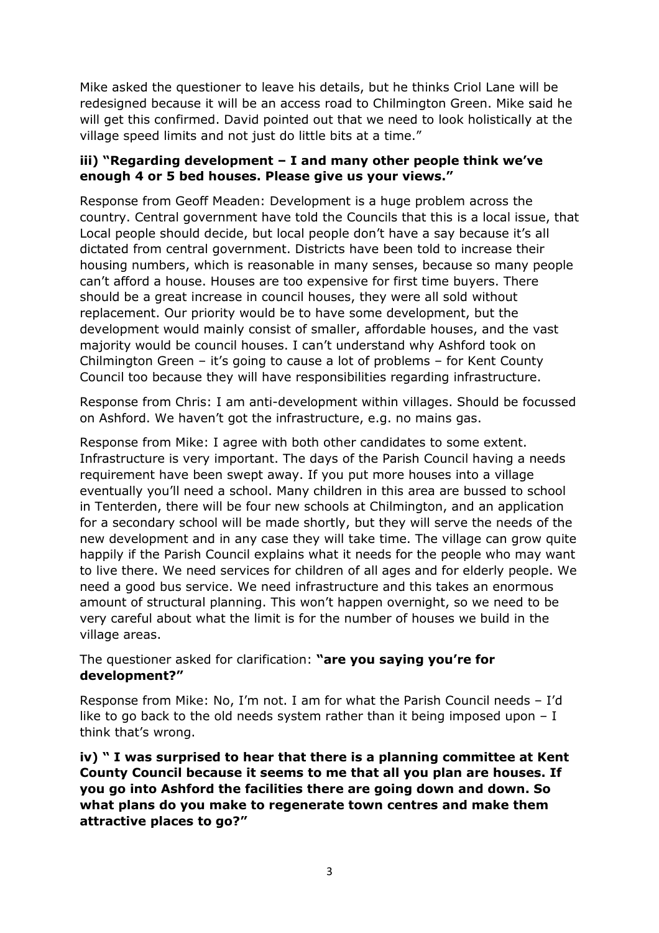Mike asked the questioner to leave his details, but he thinks Criol Lane will be redesigned because it will be an access road to Chilmington Green. Mike said he will get this confirmed. David pointed out that we need to look holistically at the village speed limits and not just do little bits at a time."

### **iii) "Regarding development – I and many other people think we've enough 4 or 5 bed houses. Please give us your views."**

Response from Geoff Meaden: Development is a huge problem across the country. Central government have told the Councils that this is a local issue, that Local people should decide, but local people don't have a say because it's all dictated from central government. Districts have been told to increase their housing numbers, which is reasonable in many senses, because so many people can't afford a house. Houses are too expensive for first time buyers. There should be a great increase in council houses, they were all sold without replacement. Our priority would be to have some development, but the development would mainly consist of smaller, affordable houses, and the vast majority would be council houses. I can't understand why Ashford took on Chilmington Green – it's going to cause a lot of problems – for Kent County Council too because they will have responsibilities regarding infrastructure.

Response from Chris: I am anti-development within villages. Should be focussed on Ashford. We haven't got the infrastructure, e.g. no mains gas.

Response from Mike: I agree with both other candidates to some extent. Infrastructure is very important. The days of the Parish Council having a needs requirement have been swept away. If you put more houses into a village eventually you'll need a school. Many children in this area are bussed to school in Tenterden, there will be four new schools at Chilmington, and an application for a secondary school will be made shortly, but they will serve the needs of the new development and in any case they will take time. The village can grow quite happily if the Parish Council explains what it needs for the people who may want to live there. We need services for children of all ages and for elderly people. We need a good bus service. We need infrastructure and this takes an enormous amount of structural planning. This won't happen overnight, so we need to be very careful about what the limit is for the number of houses we build in the village areas.

The questioner asked for clarification: **"are you saying you're for development?"** 

Response from Mike: No, I'm not. I am for what the Parish Council needs – I'd like to go back to the old needs system rather than it being imposed upon  $-1$ think that's wrong.

**iv) " I was surprised to hear that there is a planning committee at Kent County Council because it seems to me that all you plan are houses. If you go into Ashford the facilities there are going down and down. So what plans do you make to regenerate town centres and make them attractive places to go?"**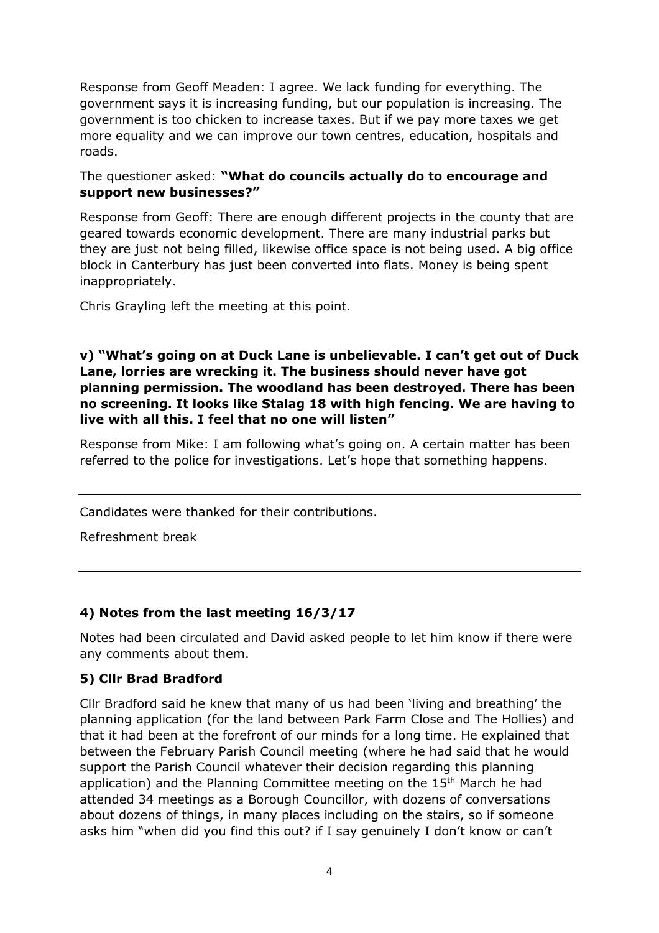Response from Geoff Meaden: I agree. We lack funding for everything. The government says it is increasing funding, but our population is increasing. The government is too chicken to increase taxes. But if we pay more taxes we get more equality and we can improve our town centres, education, hospitals and roads.

#### The questioner asked: **"What do councils actually do to encourage and support new businesses?"**

Response from Geoff: There are enough different projects in the county that are geared towards economic development. There are many industrial parks but they are just not being filled, likewise office space is not being used. A big office block in Canterbury has just been converted into flats. Money is being spent inappropriately.

Chris Grayling left the meeting at this point.

## **v) "What's going on at Duck Lane is unbelievable. I can't get out of Duck Lane, lorries are wrecking it. The business should never have got planning permission. The woodland has been destroyed. There has been no screening. It looks like Stalag 18 with high fencing. We are having to live with all this. I feel that no one will listen"**

Response from Mike: I am following what's going on. A certain matter has been referred to the police for investigations. Let's hope that something happens.

Candidates were thanked for their contributions.

Refreshment break

## **4) Notes from the last meeting 16/3/17**

Notes had been circulated and David asked people to let him know if there were any comments about them.

### **5) Cllr Brad Bradford**

Cllr Bradford said he knew that many of us had been 'living and breathing' the planning application (for the land between Park Farm Close and The Hollies) and that it had been at the forefront of our minds for a long time. He explained that between the February Parish Council meeting (where he had said that he would support the Parish Council whatever their decision regarding this planning application) and the Planning Committee meeting on the  $15<sup>th</sup>$  March he had attended 34 meetings as a Borough Councillor, with dozens of conversations about dozens of things, in many places including on the stairs, so if someone asks him "when did you find this out? if I say genuinely I don't know or can't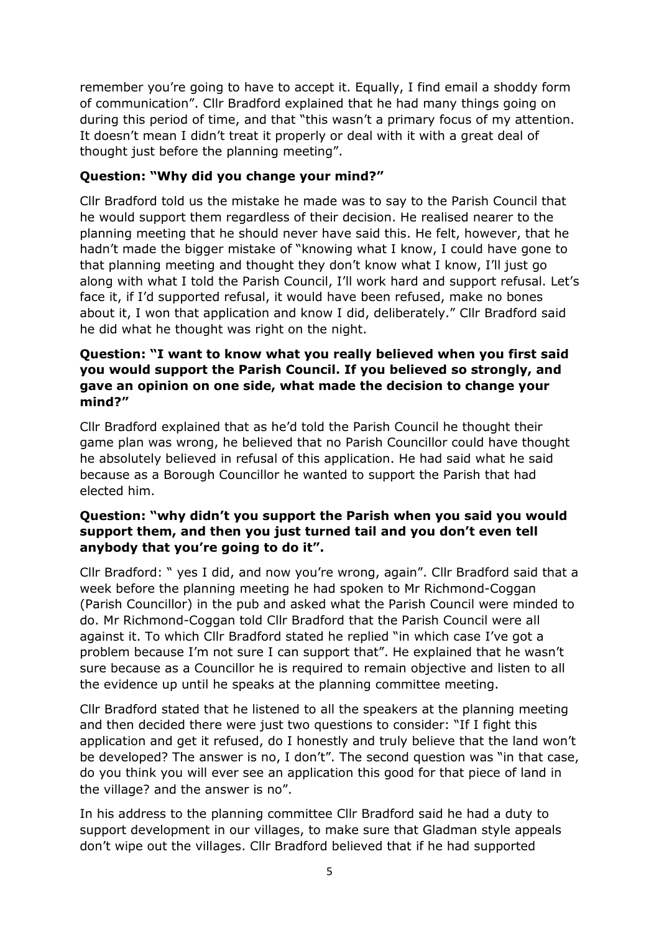remember you're going to have to accept it. Equally, I find email a shoddy form of communication". Cllr Bradford explained that he had many things going on during this period of time, and that "this wasn't a primary focus of my attention. It doesn't mean I didn't treat it properly or deal with it with a great deal of thought just before the planning meeting".

## **Question: "Why did you change your mind?"**

Cllr Bradford told us the mistake he made was to say to the Parish Council that he would support them regardless of their decision. He realised nearer to the planning meeting that he should never have said this. He felt, however, that he hadn't made the bigger mistake of "knowing what I know, I could have gone to that planning meeting and thought they don't know what I know, I'll just go along with what I told the Parish Council, I'll work hard and support refusal. Let's face it, if I'd supported refusal, it would have been refused, make no bones about it, I won that application and know I did, deliberately." Cllr Bradford said he did what he thought was right on the night.

### **Question: "I want to know what you really believed when you first said you would support the Parish Council. If you believed so strongly, and gave an opinion on one side, what made the decision to change your mind?"**

Cllr Bradford explained that as he'd told the Parish Council he thought their game plan was wrong, he believed that no Parish Councillor could have thought he absolutely believed in refusal of this application. He had said what he said because as a Borough Councillor he wanted to support the Parish that had elected him.

## **Question: "why didn't you support the Parish when you said you would support them, and then you just turned tail and you don't even tell anybody that you're going to do it".**

Cllr Bradford: " yes I did, and now you're wrong, again". Cllr Bradford said that a week before the planning meeting he had spoken to Mr Richmond-Coggan (Parish Councillor) in the pub and asked what the Parish Council were minded to do. Mr Richmond-Coggan told Cllr Bradford that the Parish Council were all against it. To which Cllr Bradford stated he replied "in which case I've got a problem because I'm not sure I can support that". He explained that he wasn't sure because as a Councillor he is required to remain objective and listen to all the evidence up until he speaks at the planning committee meeting.

Cllr Bradford stated that he listened to all the speakers at the planning meeting and then decided there were just two questions to consider: "If I fight this application and get it refused, do I honestly and truly believe that the land won't be developed? The answer is no, I don't". The second question was "in that case, do you think you will ever see an application this good for that piece of land in the village? and the answer is no".

In his address to the planning committee Cllr Bradford said he had a duty to support development in our villages, to make sure that Gladman style appeals don't wipe out the villages. Cllr Bradford believed that if he had supported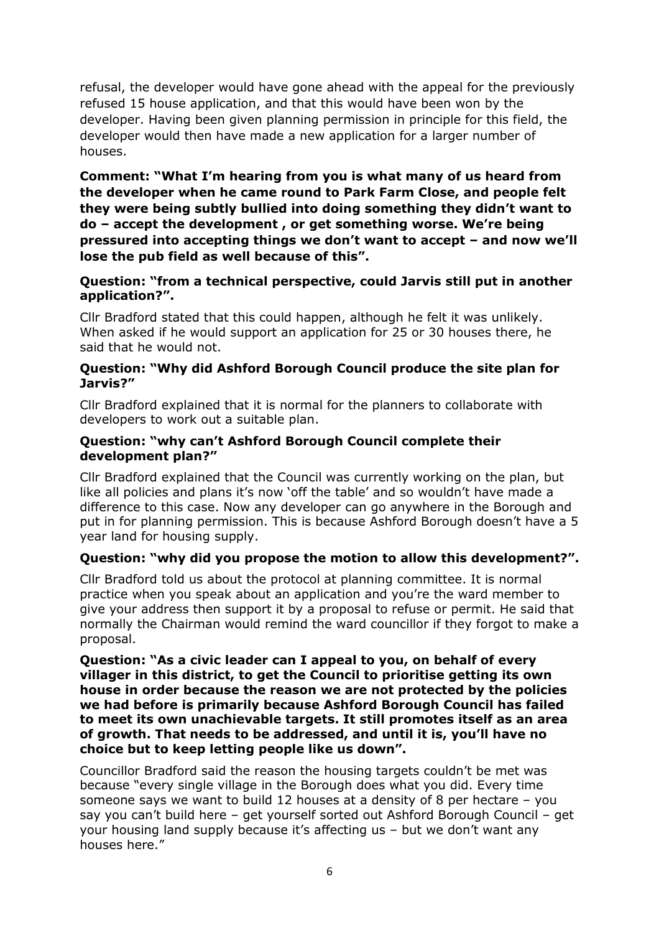refusal, the developer would have gone ahead with the appeal for the previously refused 15 house application, and that this would have been won by the developer. Having been given planning permission in principle for this field, the developer would then have made a new application for a larger number of houses.

**Comment: "What I'm hearing from you is what many of us heard from the developer when he came round to Park Farm Close, and people felt they were being subtly bullied into doing something they didn't want to do – accept the development , or get something worse. We're being pressured into accepting things we don't want to accept – and now we'll lose the pub field as well because of this".** 

### **Question: "from a technical perspective, could Jarvis still put in another application?".**

Cllr Bradford stated that this could happen, although he felt it was unlikely. When asked if he would support an application for 25 or 30 houses there, he said that he would not.

#### **Question: "Why did Ashford Borough Council produce the site plan for Jarvis?"**

Cllr Bradford explained that it is normal for the planners to collaborate with developers to work out a suitable plan.

#### **Question: "why can't Ashford Borough Council complete their development plan?"**

Cllr Bradford explained that the Council was currently working on the plan, but like all policies and plans it's now 'off the table' and so wouldn't have made a difference to this case. Now any developer can go anywhere in the Borough and put in for planning permission. This is because Ashford Borough doesn't have a 5 year land for housing supply.

### **Question: "why did you propose the motion to allow this development?".**

Cllr Bradford told us about the protocol at planning committee. It is normal practice when you speak about an application and you're the ward member to give your address then support it by a proposal to refuse or permit. He said that normally the Chairman would remind the ward councillor if they forgot to make a proposal.

#### **Question: "As a civic leader can I appeal to you, on behalf of every villager in this district, to get the Council to prioritise getting its own house in order because the reason we are not protected by the policies we had before is primarily because Ashford Borough Council has failed to meet its own unachievable targets. It still promotes itself as an area of growth. That needs to be addressed, and until it is, you'll have no choice but to keep letting people like us down".**

Councillor Bradford said the reason the housing targets couldn't be met was because "every single village in the Borough does what you did. Every time someone says we want to build 12 houses at a density of 8 per hectare – you say you can't build here – get yourself sorted out Ashford Borough Council – get your housing land supply because it's affecting us – but we don't want any houses here."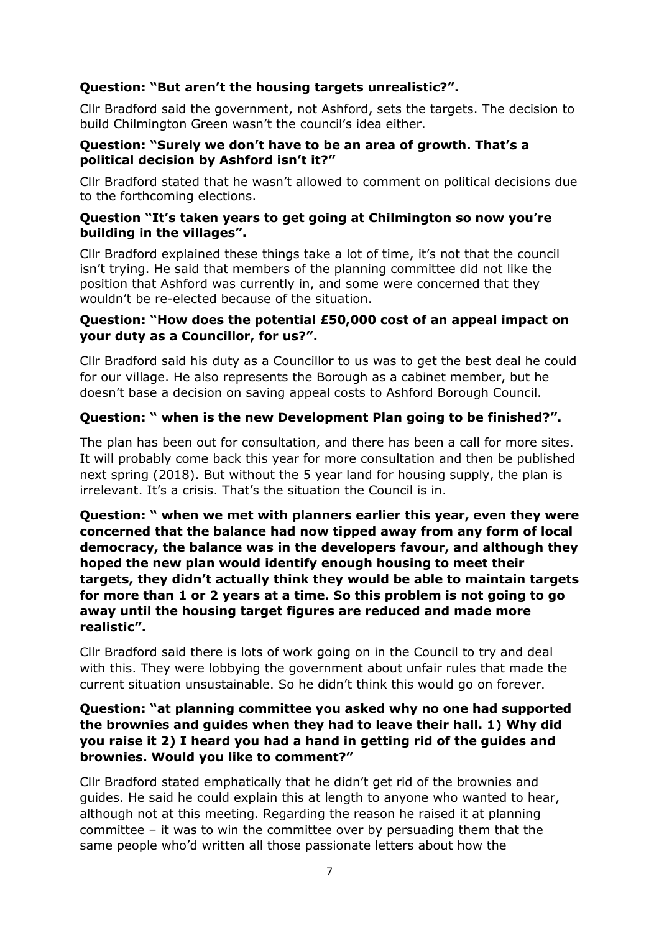# **Question: "But aren't the housing targets unrealistic?".**

Cllr Bradford said the government, not Ashford, sets the targets. The decision to build Chilmington Green wasn't the council's idea either.

### **Question: "Surely we don't have to be an area of growth. That's a political decision by Ashford isn't it?"**

Cllr Bradford stated that he wasn't allowed to comment on political decisions due to the forthcoming elections.

### **Question "It's taken years to get going at Chilmington so now you're building in the villages".**

Cllr Bradford explained these things take a lot of time, it's not that the council isn't trying. He said that members of the planning committee did not like the position that Ashford was currently in, and some were concerned that they wouldn't be re-elected because of the situation.

## **Question: "How does the potential £50,000 cost of an appeal impact on your duty as a Councillor, for us?".**

Cllr Bradford said his duty as a Councillor to us was to get the best deal he could for our village. He also represents the Borough as a cabinet member, but he doesn't base a decision on saving appeal costs to Ashford Borough Council.

# **Question: " when is the new Development Plan going to be finished?".**

The plan has been out for consultation, and there has been a call for more sites. It will probably come back this year for more consultation and then be published next spring (2018). But without the 5 year land for housing supply, the plan is irrelevant. It's a crisis. That's the situation the Council is in.

**Question: " when we met with planners earlier this year, even they were concerned that the balance had now tipped away from any form of local democracy, the balance was in the developers favour, and although they hoped the new plan would identify enough housing to meet their targets, they didn't actually think they would be able to maintain targets for more than 1 or 2 years at a time. So this problem is not going to go away until the housing target figures are reduced and made more realistic".** 

Cllr Bradford said there is lots of work going on in the Council to try and deal with this. They were lobbying the government about unfair rules that made the current situation unsustainable. So he didn't think this would go on forever.

## **Question: "at planning committee you asked why no one had supported the brownies and guides when they had to leave their hall. 1) Why did you raise it 2) I heard you had a hand in getting rid of the guides and brownies. Would you like to comment?"**

Cllr Bradford stated emphatically that he didn't get rid of the brownies and guides. He said he could explain this at length to anyone who wanted to hear, although not at this meeting. Regarding the reason he raised it at planning committee – it was to win the committee over by persuading them that the same people who'd written all those passionate letters about how the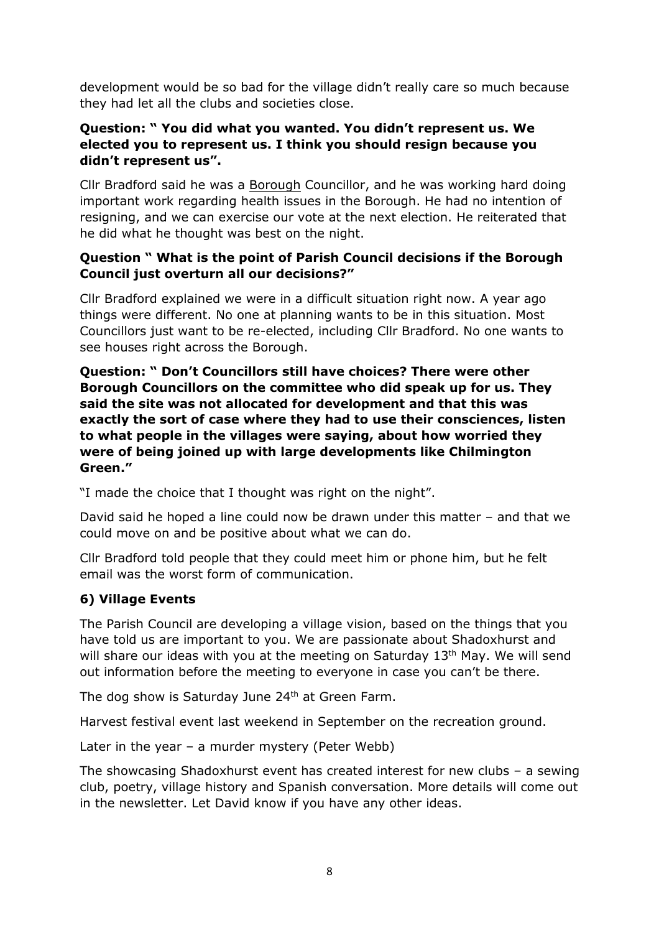development would be so bad for the village didn't really care so much because they had let all the clubs and societies close.

## **Question: " You did what you wanted. You didn't represent us. We elected you to represent us. I think you should resign because you didn't represent us".**

Cllr Bradford said he was a Borough Councillor, and he was working hard doing important work regarding health issues in the Borough. He had no intention of resigning, and we can exercise our vote at the next election. He reiterated that he did what he thought was best on the night.

## **Question " What is the point of Parish Council decisions if the Borough Council just overturn all our decisions?"**

Cllr Bradford explained we were in a difficult situation right now. A year ago things were different. No one at planning wants to be in this situation. Most Councillors just want to be re-elected, including Cllr Bradford. No one wants to see houses right across the Borough.

**Question: " Don't Councillors still have choices? There were other Borough Councillors on the committee who did speak up for us. They said the site was not allocated for development and that this was exactly the sort of case where they had to use their consciences, listen to what people in the villages were saying, about how worried they were of being joined up with large developments like Chilmington Green."** 

"I made the choice that I thought was right on the night".

David said he hoped a line could now be drawn under this matter – and that we could move on and be positive about what we can do.

Cllr Bradford told people that they could meet him or phone him, but he felt email was the worst form of communication.

## **6) Village Events**

The Parish Council are developing a village vision, based on the things that you have told us are important to you. We are passionate about Shadoxhurst and will share our ideas with you at the meeting on Saturday 13<sup>th</sup> May. We will send out information before the meeting to everyone in case you can't be there.

The dog show is Saturday June 24<sup>th</sup> at Green Farm.

Harvest festival event last weekend in September on the recreation ground.

Later in the year – a murder mystery (Peter Webb)

The showcasing Shadoxhurst event has created interest for new clubs – a sewing club, poetry, village history and Spanish conversation. More details will come out in the newsletter. Let David know if you have any other ideas.